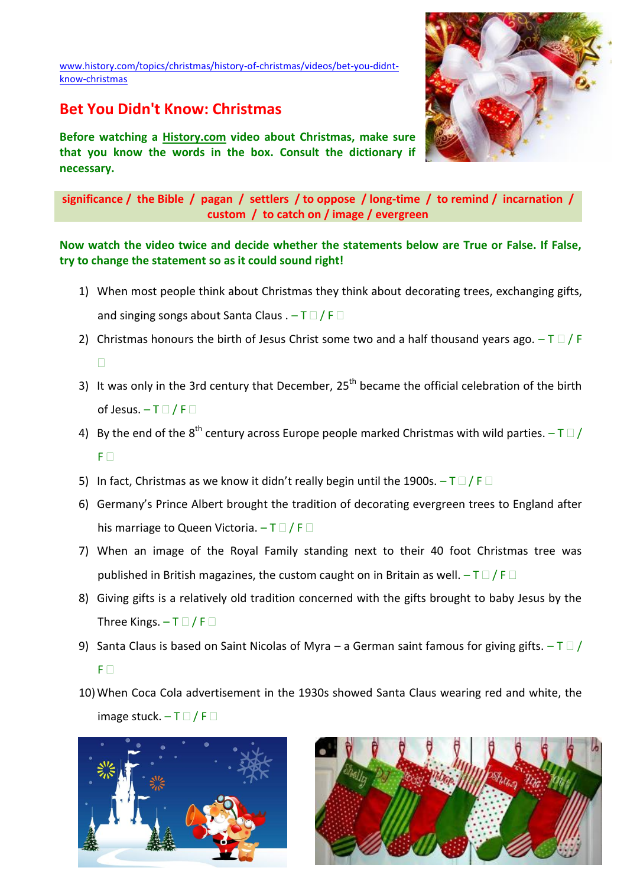[www.history.com/topics/christmas/history-of-christmas/videos/bet-you-didnt](http://www.history.com/topics/christmas/history-of-christmas/videos/bet-you-didnt-know-christmas)[know-christmas](http://www.history.com/topics/christmas/history-of-christmas/videos/bet-you-didnt-know-christmas)

## **Bet You Didn't Know: Christmas**

**Before watching a History.com video about Christmas, make sure that you know the words in the box. Consult the dictionary if necessary.**



**significance / the Bible / pagan / settlers / to oppose / long-time / to remind / incarnation / custom / to catch on / image / evergreen**

**Now watch the video twice and decide whether the statements below are True or False. If False, try to change the statement so as it could sound right!**

- 1) When most people think about Christmas they think about decorating trees, exchanging gifts, and singing songs about Santa Claus  $. -T \Box / F \Box$
- 2) Christmas honours the birth of Jesus Christ some two and a half thousand years ago.  $-T \Box / F$  $\Box$
- 3) It was only in the 3rd century that December,  $25<sup>th</sup>$  became the official celebration of the birth of Jesus.  $-T \Box / F \Box$
- 4) By the end of the  $8^{th}$  century across Europe people marked Christmas with wild parties.  $-$  T  $\Box$  /  $F \Box$
- 5) In fact, Christmas as we know it didn't really begin until the 1900s.  $-\top$   $\Box$  / F  $\Box$
- 6) Germany's Prince Albert brought the tradition of decorating evergreen trees to England after his marriage to Queen Victoria.  $-T \Box / F \Box$
- 7) When an image of the Royal Family standing next to their 40 foot Christmas tree was published in British magazines, the custom caught on in Britain as well.  $-T \Box / F \Box$
- 8) Giving gifts is a relatively old tradition concerned with the gifts brought to baby Jesus by the Three Kings.  $-\top$   $\Box$  / F  $\Box$
- 9) Santa Claus is based on Saint Nicolas of Myra a German saint famous for giving gifts.  $-\top$   $\Box$  /  $F \Box$
- 10)When Coca Cola advertisement in the 1930s showed Santa Claus wearing red and white, the image stuck.  $-T \Box / F \Box$



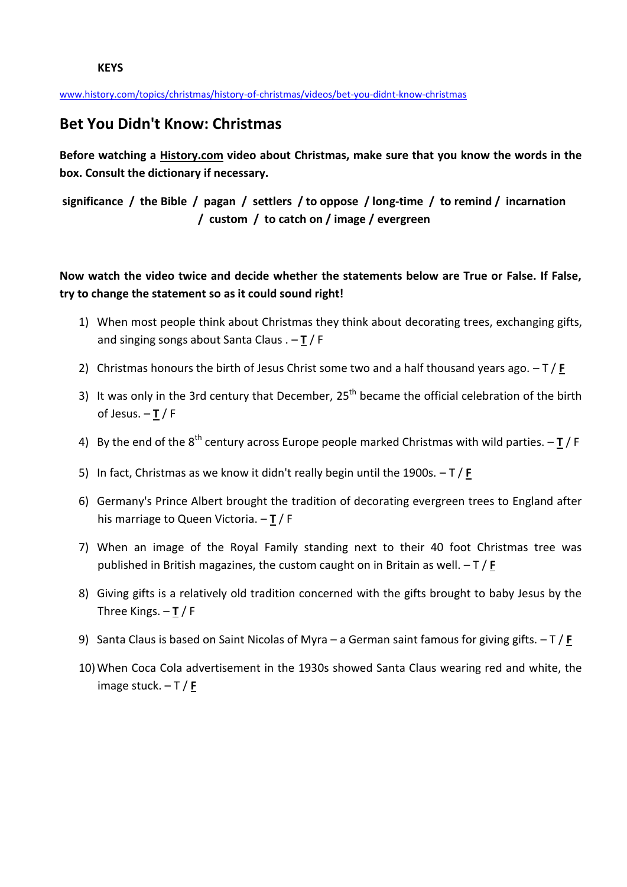[www.history.com/topics/christmas/history-of-christmas/videos/bet-you-didnt-know-christmas](http://www.history.com/topics/christmas/history-of-christmas/videos/bet-you-didnt-know-christmas)

## **Bet You Didn't Know: Christmas**

**Before watching a History.com video about Christmas, make sure that you know the words in the box. Consult the dictionary if necessary.**

**significance / the Bible / pagan / settlers / to oppose / long-time / to remind / incarnation / custom / to catch on / image / evergreen**

## **Now watch the video twice and decide whether the statements below are True or False. If False, try to change the statement so as it could sound right!**

- 1) When most people think about Christmas they think about decorating trees, exchanging gifts, and singing songs about Santa Claus . – **T** / F
- 2) Christmas honours the birth of Jesus Christ some two and a half thousand years ago. T / **F**
- 3) It was only in the 3rd century that December, 25<sup>th</sup> became the official celebration of the birth of Jesus. – **T** / F
- 4) By the end of the 8<sup>th</sup> century across Europe people marked Christmas with wild parties. **T** / F
- 5) In fact, Christmas as we know it didn't really begin until the 1900s. T / **F**
- 6) Germany's Prince Albert brought the tradition of decorating evergreen trees to England after his marriage to Queen Victoria. – **T** / F
- 7) When an image of the Royal Family standing next to their 40 foot Christmas tree was published in British magazines, the custom caught on in Britain as well. – T / **F**
- 8) Giving gifts is a relatively old tradition concerned with the gifts brought to baby Jesus by the Three Kings. – **T** / F
- 9) Santa Claus is based on Saint Nicolas of Myra a German saint famous for giving gifts. T / **F**
- 10)When Coca Cola advertisement in the 1930s showed Santa Claus wearing red and white, the image stuck. – T / **F**